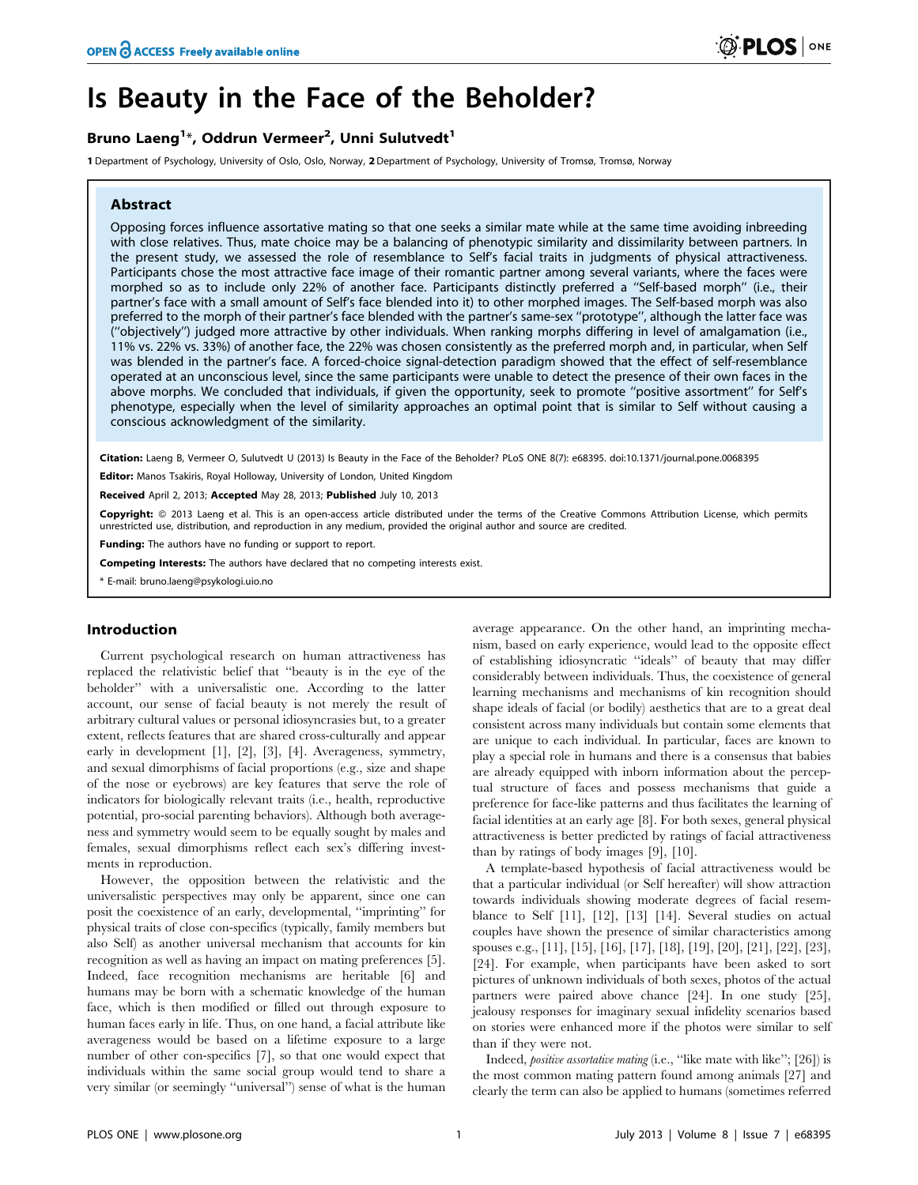# Is Beauty in the Face of the Beholder?

## Bruno Laeng<sup>1\*</sup>, Oddrun Vermeer<sup>2</sup>, Unni Sulutvedt<sup>1</sup>

1 Department of Psychology, University of Oslo, Oslo, Norway, 2Department of Psychology, University of Tromsø, Tromsø, Norway

## Abstract

Opposing forces influence assortative mating so that one seeks a similar mate while at the same time avoiding inbreeding with close relatives. Thus, mate choice may be a balancing of phenotypic similarity and dissimilarity between partners. In the present study, we assessed the role of resemblance to Self's facial traits in judgments of physical attractiveness. Participants chose the most attractive face image of their romantic partner among several variants, where the faces were morphed so as to include only 22% of another face. Participants distinctly preferred a ''Self-based morph'' (i.e., their partner's face with a small amount of Self's face blended into it) to other morphed images. The Self-based morph was also preferred to the morph of their partner's face blended with the partner's same-sex ''prototype'', although the latter face was (''objectively'') judged more attractive by other individuals. When ranking morphs differing in level of amalgamation (i.e., 11% vs. 22% vs. 33%) of another face, the 22% was chosen consistently as the preferred morph and, in particular, when Self was blended in the partner's face. A forced-choice signal-detection paradigm showed that the effect of self-resemblance operated at an unconscious level, since the same participants were unable to detect the presence of their own faces in the above morphs. We concluded that individuals, if given the opportunity, seek to promote ''positive assortment'' for Self's phenotype, especially when the level of similarity approaches an optimal point that is similar to Self without causing a conscious acknowledgment of the similarity.

Citation: Laeng B, Vermeer O, Sulutvedt U (2013) Is Beauty in the Face of the Beholder? PLoS ONE 8(7): e68395. doi:10.1371/journal.pone.0068395

Editor: Manos Tsakiris, Royal Holloway, University of London, United Kingdom

Received April 2, 2013; Accepted May 28, 2013; Published July 10, 2013

Copyright: © 2013 Laeng et al. This is an open-access article distributed under the terms of the Creative Commons Attribution License, which permits unrestricted use, distribution, and reproduction in any medium, provided the original author and source are credited.

Funding: The authors have no funding or support to report.

Competing Interests: The authors have declared that no competing interests exist.

\* E-mail: bruno.laeng@psykologi.uio.no

## Introduction

Current psychological research on human attractiveness has replaced the relativistic belief that ''beauty is in the eye of the beholder'' with a universalistic one. According to the latter account, our sense of facial beauty is not merely the result of arbitrary cultural values or personal idiosyncrasies but, to a greater extent, reflects features that are shared cross-culturally and appear early in development [1], [2], [3], [4]. Averageness, symmetry, and sexual dimorphisms of facial proportions (e.g., size and shape of the nose or eyebrows) are key features that serve the role of indicators for biologically relevant traits (i.e., health, reproductive potential, pro-social parenting behaviors). Although both averageness and symmetry would seem to be equally sought by males and females, sexual dimorphisms reflect each sex's differing investments in reproduction.

However, the opposition between the relativistic and the universalistic perspectives may only be apparent, since one can posit the coexistence of an early, developmental, ''imprinting'' for physical traits of close con-specifics (typically, family members but also Self) as another universal mechanism that accounts for kin recognition as well as having an impact on mating preferences [5]. Indeed, face recognition mechanisms are heritable [6] and humans may be born with a schematic knowledge of the human face, which is then modified or filled out through exposure to human faces early in life. Thus, on one hand, a facial attribute like averageness would be based on a lifetime exposure to a large number of other con-specifics [7], so that one would expect that individuals within the same social group would tend to share a very similar (or seemingly ''universal'') sense of what is the human

average appearance. On the other hand, an imprinting mechanism, based on early experience, would lead to the opposite effect of establishing idiosyncratic ''ideals'' of beauty that may differ considerably between individuals. Thus, the coexistence of general learning mechanisms and mechanisms of kin recognition should shape ideals of facial (or bodily) aesthetics that are to a great deal consistent across many individuals but contain some elements that are unique to each individual. In particular, faces are known to play a special role in humans and there is a consensus that babies are already equipped with inborn information about the perceptual structure of faces and possess mechanisms that guide a preference for face-like patterns and thus facilitates the learning of facial identities at an early age [8]. For both sexes, general physical attractiveness is better predicted by ratings of facial attractiveness than by ratings of body images [9], [10].

A template-based hypothesis of facial attractiveness would be that a particular individual (or Self hereafter) will show attraction towards individuals showing moderate degrees of facial resemblance to Self [11], [12], [13] [14]. Several studies on actual couples have shown the presence of similar characteristics among spouses e.g., [11], [15], [16], [17], [18], [19], [20], [21], [22], [23], [24]. For example, when participants have been asked to sort pictures of unknown individuals of both sexes, photos of the actual partners were paired above chance [24]. In one study [25], jealousy responses for imaginary sexual infidelity scenarios based on stories were enhanced more if the photos were similar to self than if they were not.

Indeed, positive assortative mating (i.e., ''like mate with like''; [26]) is the most common mating pattern found among animals [27] and clearly the term can also be applied to humans (sometimes referred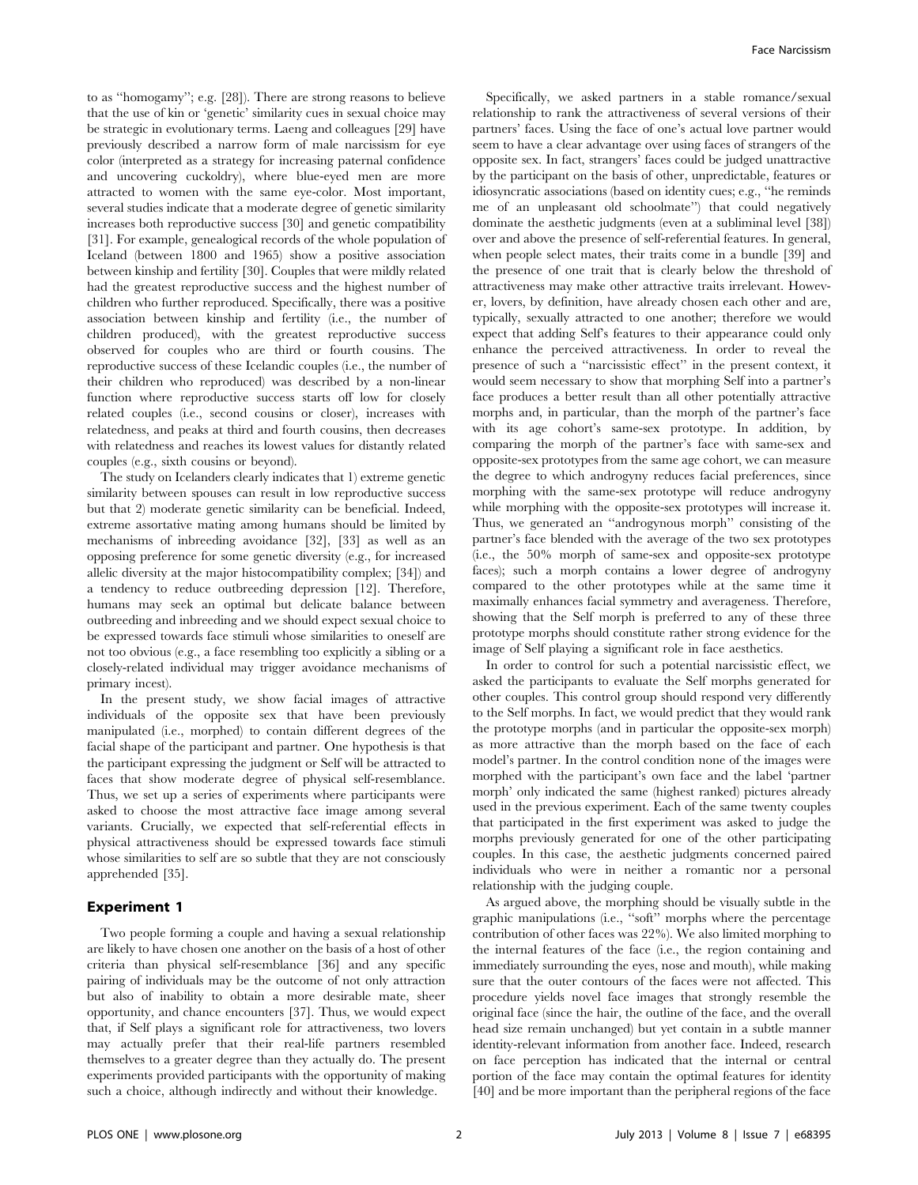to as ''homogamy''; e.g. [28]). There are strong reasons to believe that the use of kin or 'genetic' similarity cues in sexual choice may be strategic in evolutionary terms. Laeng and colleagues [29] have previously described a narrow form of male narcissism for eye color (interpreted as a strategy for increasing paternal confidence and uncovering cuckoldry), where blue-eyed men are more attracted to women with the same eye-color. Most important, several studies indicate that a moderate degree of genetic similarity increases both reproductive success [30] and genetic compatibility [31]. For example, genealogical records of the whole population of Iceland (between 1800 and 1965) show a positive association between kinship and fertility [30]. Couples that were mildly related had the greatest reproductive success and the highest number of children who further reproduced. Specifically, there was a positive association between kinship and fertility (i.e., the number of children produced), with the greatest reproductive success observed for couples who are third or fourth cousins. The reproductive success of these Icelandic couples (i.e., the number of their children who reproduced) was described by a non-linear function where reproductive success starts off low for closely related couples (i.e., second cousins or closer), increases with relatedness, and peaks at third and fourth cousins, then decreases with relatedness and reaches its lowest values for distantly related couples (e.g., sixth cousins or beyond).

The study on Icelanders clearly indicates that 1) extreme genetic similarity between spouses can result in low reproductive success but that 2) moderate genetic similarity can be beneficial. Indeed, extreme assortative mating among humans should be limited by mechanisms of inbreeding avoidance [32], [33] as well as an opposing preference for some genetic diversity (e.g., for increased allelic diversity at the major histocompatibility complex; [34]) and a tendency to reduce outbreeding depression [12]. Therefore, humans may seek an optimal but delicate balance between outbreeding and inbreeding and we should expect sexual choice to be expressed towards face stimuli whose similarities to oneself are not too obvious (e.g., a face resembling too explicitly a sibling or a closely-related individual may trigger avoidance mechanisms of primary incest).

In the present study, we show facial images of attractive individuals of the opposite sex that have been previously manipulated (i.e., morphed) to contain different degrees of the facial shape of the participant and partner. One hypothesis is that the participant expressing the judgment or Self will be attracted to faces that show moderate degree of physical self-resemblance. Thus, we set up a series of experiments where participants were asked to choose the most attractive face image among several variants. Crucially, we expected that self-referential effects in physical attractiveness should be expressed towards face stimuli whose similarities to self are so subtle that they are not consciously apprehended [35].

#### Experiment 1

Two people forming a couple and having a sexual relationship are likely to have chosen one another on the basis of a host of other criteria than physical self-resemblance [36] and any specific pairing of individuals may be the outcome of not only attraction but also of inability to obtain a more desirable mate, sheer opportunity, and chance encounters [37]. Thus, we would expect that, if Self plays a significant role for attractiveness, two lovers may actually prefer that their real-life partners resembled themselves to a greater degree than they actually do. The present experiments provided participants with the opportunity of making such a choice, although indirectly and without their knowledge.

Specifically, we asked partners in a stable romance/sexual relationship to rank the attractiveness of several versions of their partners' faces. Using the face of one's actual love partner would seem to have a clear advantage over using faces of strangers of the opposite sex. In fact, strangers' faces could be judged unattractive by the participant on the basis of other, unpredictable, features or idiosyncratic associations (based on identity cues; e.g., ''he reminds me of an unpleasant old schoolmate'') that could negatively dominate the aesthetic judgments (even at a subliminal level [38]) over and above the presence of self-referential features. In general, when people select mates, their traits come in a bundle [39] and the presence of one trait that is clearly below the threshold of attractiveness may make other attractive traits irrelevant. However, lovers, by definition, have already chosen each other and are, typically, sexually attracted to one another; therefore we would expect that adding Self's features to their appearance could only enhance the perceived attractiveness. In order to reveal the presence of such a ''narcissistic effect'' in the present context, it would seem necessary to show that morphing Self into a partner's face produces a better result than all other potentially attractive morphs and, in particular, than the morph of the partner's face with its age cohort's same-sex prototype. In addition, by comparing the morph of the partner's face with same-sex and opposite-sex prototypes from the same age cohort, we can measure the degree to which androgyny reduces facial preferences, since morphing with the same-sex prototype will reduce androgyny while morphing with the opposite-sex prototypes will increase it. Thus, we generated an ''androgynous morph'' consisting of the partner's face blended with the average of the two sex prototypes (i.e., the 50% morph of same-sex and opposite-sex prototype faces); such a morph contains a lower degree of androgyny compared to the other prototypes while at the same time it maximally enhances facial symmetry and averageness. Therefore, showing that the Self morph is preferred to any of these three prototype morphs should constitute rather strong evidence for the image of Self playing a significant role in face aesthetics.

In order to control for such a potential narcissistic effect, we asked the participants to evaluate the Self morphs generated for other couples. This control group should respond very differently to the Self morphs. In fact, we would predict that they would rank the prototype morphs (and in particular the opposite-sex morph) as more attractive than the morph based on the face of each model's partner. In the control condition none of the images were morphed with the participant's own face and the label 'partner morph' only indicated the same (highest ranked) pictures already used in the previous experiment. Each of the same twenty couples that participated in the first experiment was asked to judge the morphs previously generated for one of the other participating couples. In this case, the aesthetic judgments concerned paired individuals who were in neither a romantic nor a personal relationship with the judging couple.

As argued above, the morphing should be visually subtle in the graphic manipulations (i.e., ''soft'' morphs where the percentage contribution of other faces was 22%). We also limited morphing to the internal features of the face (i.e., the region containing and immediately surrounding the eyes, nose and mouth), while making sure that the outer contours of the faces were not affected. This procedure yields novel face images that strongly resemble the original face (since the hair, the outline of the face, and the overall head size remain unchanged) but yet contain in a subtle manner identity-relevant information from another face. Indeed, research on face perception has indicated that the internal or central portion of the face may contain the optimal features for identity [40] and be more important than the peripheral regions of the face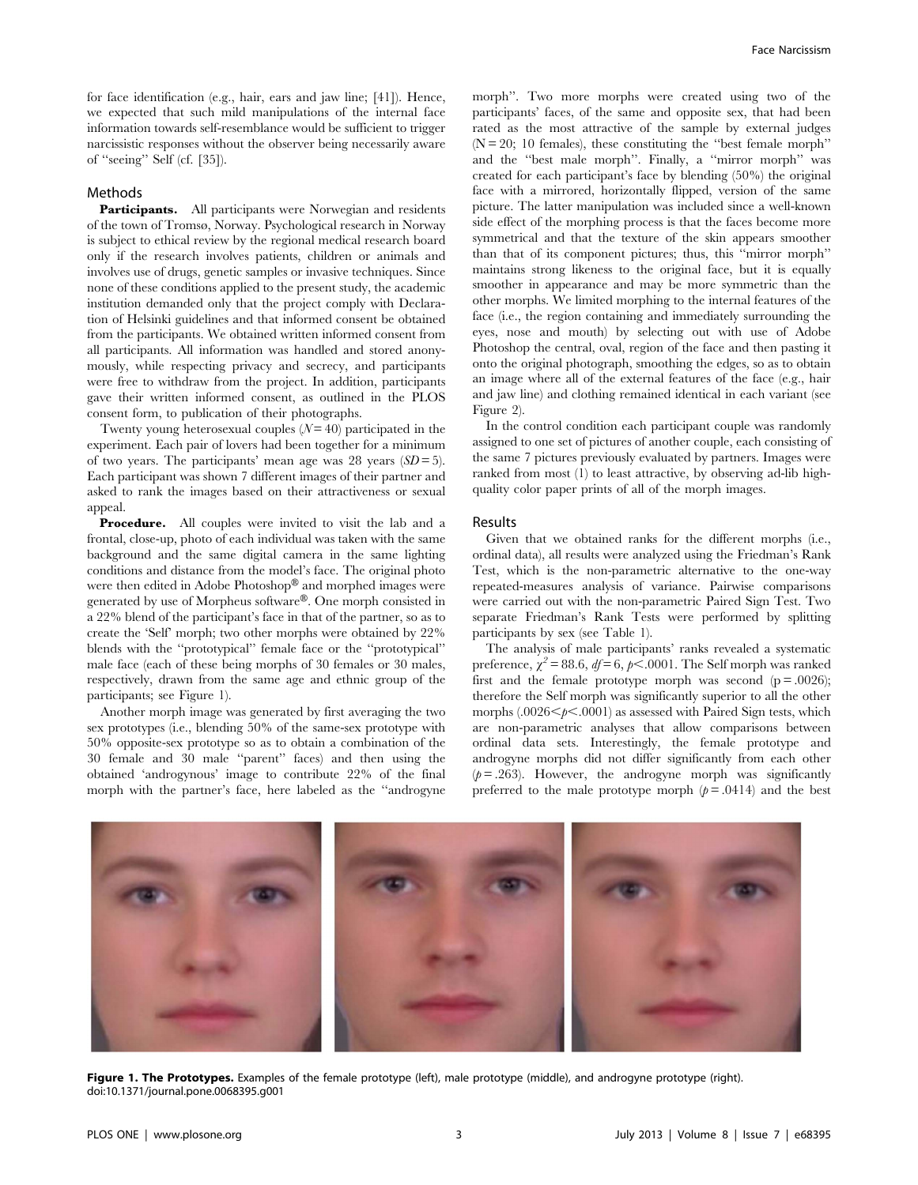for face identification (e.g., hair, ears and jaw line; [41]). Hence, we expected that such mild manipulations of the internal face information towards self-resemblance would be sufficient to trigger narcissistic responses without the observer being necessarily aware of ''seeing'' Self (cf. [35]).

## Methods

Participants. All participants were Norwegian and residents of the town of Tromsø, Norway. Psychological research in Norway is subject to ethical review by the regional medical research board only if the research involves patients, children or animals and involves use of drugs, genetic samples or invasive techniques. Since none of these conditions applied to the present study, the academic institution demanded only that the project comply with Declaration of Helsinki guidelines and that informed consent be obtained from the participants. We obtained written informed consent from all participants. All information was handled and stored anonymously, while respecting privacy and secrecy, and participants were free to withdraw from the project. In addition, participants gave their written informed consent, as outlined in the PLOS consent form, to publication of their photographs.

Twenty young heterosexual couples  $(N=40)$  participated in the experiment. Each pair of lovers had been together for a minimum of two years. The participants' mean age was 28 years  $(SD = 5)$ . Each participant was shown 7 different images of their partner and asked to rank the images based on their attractiveness or sexual appeal.

Procedure. All couples were invited to visit the lab and a frontal, close-up, photo of each individual was taken with the same background and the same digital camera in the same lighting conditions and distance from the model's face. The original photo were then edited in Adobe Photoshop® and morphed images were generated by use of Morpheus software®. One morph consisted in a 22% blend of the participant's face in that of the partner, so as to create the 'Self' morph; two other morphs were obtained by 22% blends with the ''prototypical'' female face or the ''prototypical'' male face (each of these being morphs of 30 females or 30 males, respectively, drawn from the same age and ethnic group of the participants; see Figure 1).

Another morph image was generated by first averaging the two sex prototypes (i.e., blending 50% of the same-sex prototype with 50% opposite-sex prototype so as to obtain a combination of the 30 female and 30 male ''parent'' faces) and then using the obtained 'androgynous' image to contribute 22% of the final morph with the partner's face, here labeled as the ''androgyne

morph''. Two more morphs were created using two of the participants' faces, of the same and opposite sex, that had been rated as the most attractive of the sample by external judges  $(N = 20; 10$  females), these constituting the "best female morph" and the ''best male morph''. Finally, a ''mirror morph'' was created for each participant's face by blending (50%) the original face with a mirrored, horizontally flipped, version of the same picture. The latter manipulation was included since a well-known side effect of the morphing process is that the faces become more symmetrical and that the texture of the skin appears smoother than that of its component pictures; thus, this ''mirror morph'' maintains strong likeness to the original face, but it is equally smoother in appearance and may be more symmetric than the other morphs. We limited morphing to the internal features of the face (i.e., the region containing and immediately surrounding the eyes, nose and mouth) by selecting out with use of Adobe Photoshop the central, oval, region of the face and then pasting it onto the original photograph, smoothing the edges, so as to obtain an image where all of the external features of the face (e.g., hair and jaw line) and clothing remained identical in each variant (see Figure 2).

In the control condition each participant couple was randomly assigned to one set of pictures of another couple, each consisting of the same 7 pictures previously evaluated by partners. Images were ranked from most (1) to least attractive, by observing ad-lib highquality color paper prints of all of the morph images.

## Results

Given that we obtained ranks for the different morphs (i.e., ordinal data), all results were analyzed using the Friedman's Rank Test, which is the non-parametric alternative to the one-way repeated-measures analysis of variance. Pairwise comparisons were carried out with the non-parametric Paired Sign Test. Two separate Friedman's Rank Tests were performed by splitting participants by sex (see Table 1).

The analysis of male participants' ranks revealed a systematic preference,  $\chi^2$  = 88.6,  $df$  = 6,  $p$  < 0001. The Self morph was ranked first and the female prototype morph was second  $(p = .0026)$ ; therefore the Self morph was significantly superior to all the other morphs  $(.0026 \le p \le .0001)$  as assessed with Paired Sign tests, which are non-parametric analyses that allow comparisons between ordinal data sets. Interestingly, the female prototype and androgyne morphs did not differ significantly from each other  $(p=.263)$ . However, the androgyne morph was significantly preferred to the male prototype morph  $(p=.0414)$  and the best



Figure 1. The Prototypes. Examples of the female prototype (left), male prototype (middle), and androgyne prototype (right). doi:10.1371/journal.pone.0068395.g001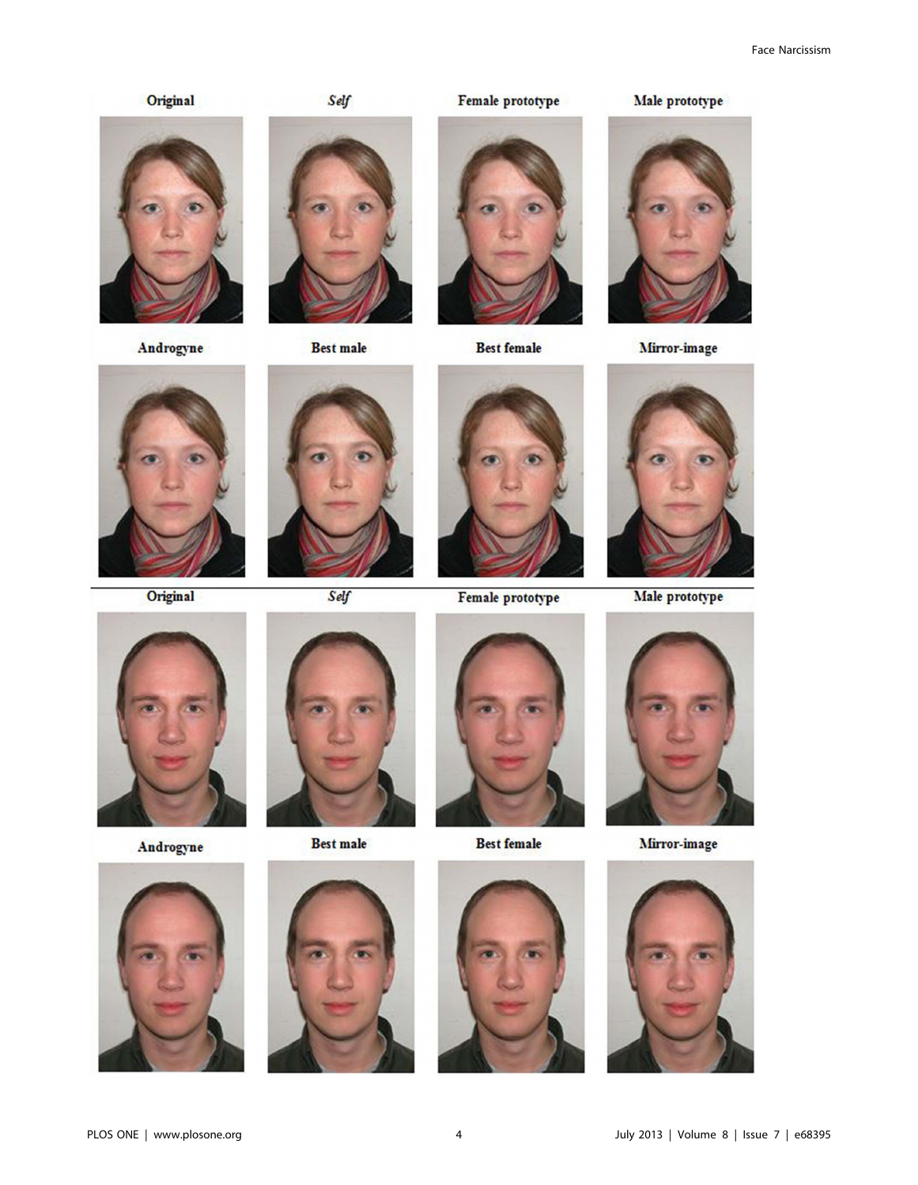Original



Androgyne



**Best male** 



**Best female** 



Male prototype

Mirror-image



Original









Male prototype



Androgyne





**Best male** 



**Best female** 





Mirror-image

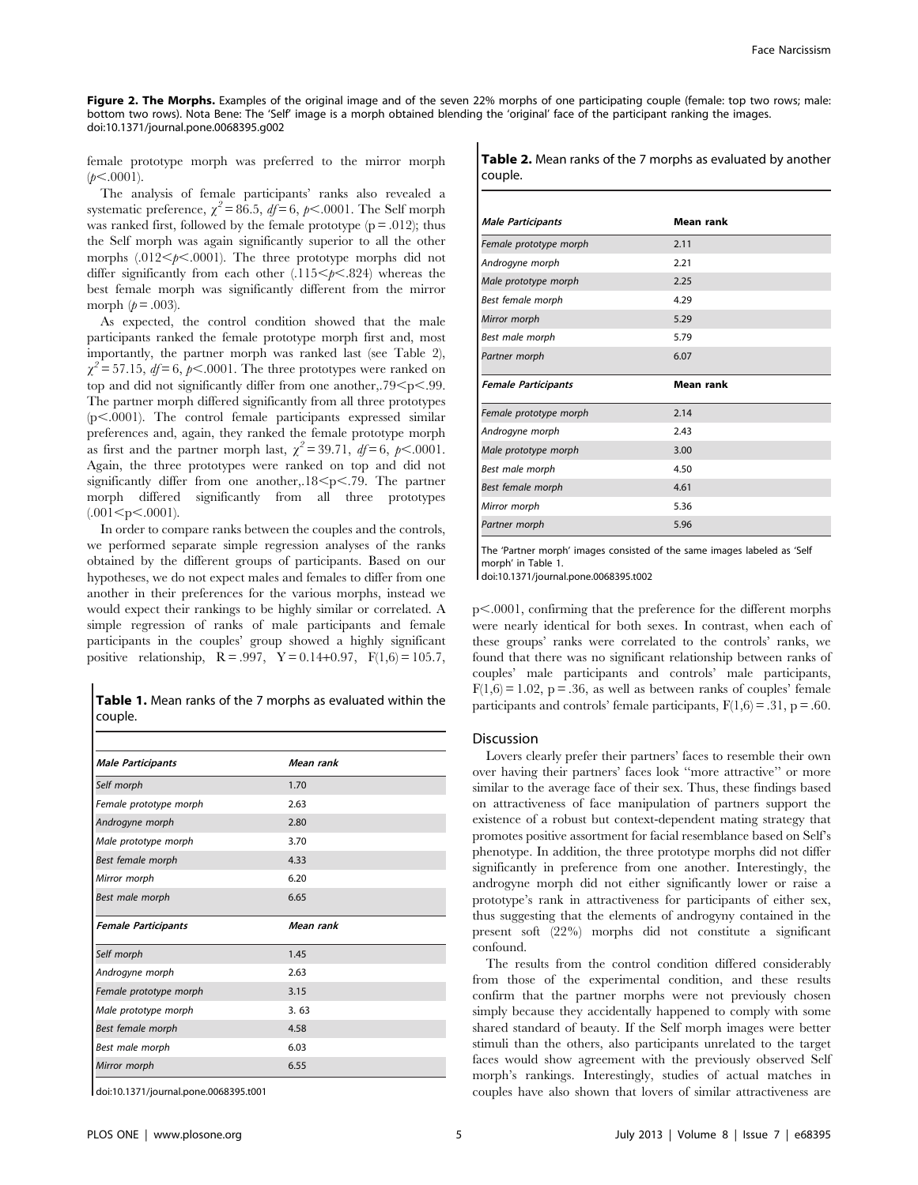Figure 2. The Morphs. Examples of the original image and of the seven 22% morphs of one participating couple (female: top two rows; male: bottom two rows). Nota Bene: The 'Self' image is a morph obtained blending the 'original' face of the participant ranking the images. doi:10.1371/journal.pone.0068395.g002

female prototype morph was preferred to the mirror morph  $(p<.0001)$ .

The analysis of female participants' ranks also revealed a systematic preference,  $\gamma^2 = 86.5$ ,  $df = 6$ ,  $p < .0001$ . The Self morph was ranked first, followed by the female prototype  $(p = .012)$ ; thus the Self morph was again significantly superior to all the other morphs  $(.012<\cancel{\sim}0.0001)$ . The three prototype morphs did not differ significantly from each other  $(.115<\gamma<0.824)$  whereas the best female morph was significantly different from the mirror morph  $(p=.003)$ .

As expected, the control condition showed that the male participants ranked the female prototype morph first and, most importantly, the partner morph was ranked last (see Table 2),  $\chi^2$  = 57.15, df = 6,  $p<.0001$ . The three prototypes were ranked on top and did not significantly differ from one another,  $79 \le p \le .99$ . The partner morph differed significantly from all three prototypes  $(p<.0001)$ . The control female participants expressed similar preferences and, again, they ranked the female prototype morph as first and the partner morph last,  $\chi^2 = 39.71$ ,  $df = 6$ ,  $p < .0001$ . Again, the three prototypes were ranked on top and did not significantly differ from one another,  $18\leq p\leq 79$ . The partner morph differed significantly from all three prototypes  $(.001< p<.0001)$ .

In order to compare ranks between the couples and the controls, we performed separate simple regression analyses of the ranks obtained by the different groups of participants. Based on our hypotheses, we do not expect males and females to differ from one another in their preferences for the various morphs, instead we would expect their rankings to be highly similar or correlated. A simple regression of ranks of male participants and female participants in the couples' group showed a highly significant positive relationship,  $R = .997$ ,  $Y = 0.14+0.97$ ,  $F(1,6) = 105.7$ ,

Table 1. Mean ranks of the 7 morphs as evaluated within the couple.

| <b>Male Participants</b>   | Mean rank |  |
|----------------------------|-----------|--|
| Self morph                 | 1.70      |  |
| Female prototype morph     | 2.63      |  |
| Androgyne morph            | 2.80      |  |
| Male prototype morph       | 3.70      |  |
| Best female morph          | 4.33      |  |
| Mirror morph               | 6.20      |  |
| Best male morph            | 6.65      |  |
| <b>Female Participants</b> | Mean rank |  |
|                            |           |  |
| Self morph                 | 1.45      |  |
| Androgyne morph            | 2.63      |  |
| Female prototype morph     | 3.15      |  |
| Male prototype morph       | 3.63      |  |
| Best female morph          | 4.58      |  |
| Best male morph            | 6.03      |  |
| Mirror morph               | 6.55      |  |

doi:10.1371/journal.pone.0068395.t001

Table 2. Mean ranks of the 7 morphs as evaluated by another couple.

| <b>Male Participants</b>   | Mean rank        |
|----------------------------|------------------|
| Female prototype morph     | 2.11             |
| Androgyne morph            | 2.21             |
| Male prototype morph       | 2.25             |
| Best female morph          | 4.29             |
| Mirror morph               | 5.29             |
| Best male morph            | 5.79             |
| Partner morph              | 6.07             |
|                            |                  |
| <b>Female Participants</b> | <b>Mean rank</b> |
| Female prototype morph     | 2.14             |
| Androgyne morph            | 2.43             |
| Male prototype morph       | 3.00             |
| Best male morph            | 4.50             |
| Best female morph          | 4.61             |
| Mirror morph               | 5.36             |

The 'Partner morph' images consisted of the same images labeled as 'Self morph' in Table 1.

doi:10.1371/journal.pone.0068395.t002

 $p<.0001$ , confirming that the preference for the different morphs were nearly identical for both sexes. In contrast, when each of these groups' ranks were correlated to the controls' ranks, we found that there was no significant relationship between ranks of couples' male participants and controls' male participants,  $F(1,6) = 1.02$ ,  $p = .36$ , as well as between ranks of couples' female participants and controls' female participants,  $F(1,6) = .31$ ,  $p = .60$ .

## Discussion

Lovers clearly prefer their partners' faces to resemble their own over having their partners' faces look ''more attractive'' or more similar to the average face of their sex. Thus, these findings based on attractiveness of face manipulation of partners support the existence of a robust but context-dependent mating strategy that promotes positive assortment for facial resemblance based on Self's phenotype. In addition, the three prototype morphs did not differ significantly in preference from one another. Interestingly, the androgyne morph did not either significantly lower or raise a prototype's rank in attractiveness for participants of either sex, thus suggesting that the elements of androgyny contained in the present soft (22%) morphs did not constitute a significant confound.

The results from the control condition differed considerably from those of the experimental condition, and these results confirm that the partner morphs were not previously chosen simply because they accidentally happened to comply with some shared standard of beauty. If the Self morph images were better stimuli than the others, also participants unrelated to the target faces would show agreement with the previously observed Self morph's rankings. Interestingly, studies of actual matches in couples have also shown that lovers of similar attractiveness are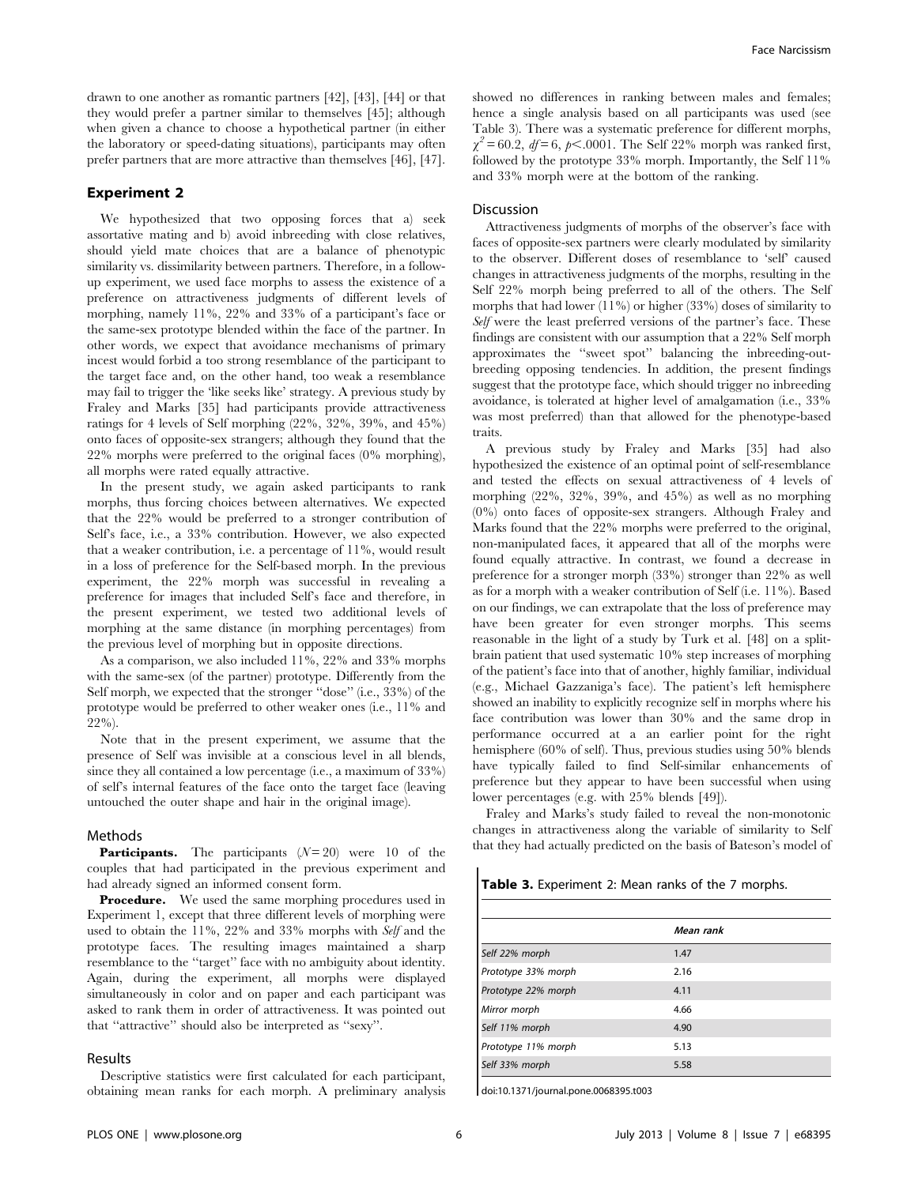drawn to one another as romantic partners [42], [43], [44] or that they would prefer a partner similar to themselves [45]; although when given a chance to choose a hypothetical partner (in either the laboratory or speed-dating situations), participants may often prefer partners that are more attractive than themselves [46], [47].

## Experiment 2

We hypothesized that two opposing forces that a) seek assortative mating and b) avoid inbreeding with close relatives, should yield mate choices that are a balance of phenotypic similarity vs. dissimilarity between partners. Therefore, in a followup experiment, we used face morphs to assess the existence of a preference on attractiveness judgments of different levels of morphing, namely 11%, 22% and 33% of a participant's face or the same-sex prototype blended within the face of the partner. In other words, we expect that avoidance mechanisms of primary incest would forbid a too strong resemblance of the participant to the target face and, on the other hand, too weak a resemblance may fail to trigger the 'like seeks like' strategy. A previous study by Fraley and Marks [35] had participants provide attractiveness ratings for 4 levels of Self morphing (22%, 32%, 39%, and 45%) onto faces of opposite-sex strangers; although they found that the 22% morphs were preferred to the original faces (0% morphing), all morphs were rated equally attractive.

In the present study, we again asked participants to rank morphs, thus forcing choices between alternatives. We expected that the 22% would be preferred to a stronger contribution of Self's face, i.e., a 33% contribution. However, we also expected that a weaker contribution, i.e. a percentage of 11%, would result in a loss of preference for the Self-based morph. In the previous experiment, the 22% morph was successful in revealing a preference for images that included Self's face and therefore, in the present experiment, we tested two additional levels of morphing at the same distance (in morphing percentages) from the previous level of morphing but in opposite directions.

As a comparison, we also included 11%, 22% and 33% morphs with the same-sex (of the partner) prototype. Differently from the Self morph, we expected that the stronger ''dose'' (i.e., 33%) of the prototype would be preferred to other weaker ones (i.e., 11% and 22%).

Note that in the present experiment, we assume that the presence of Self was invisible at a conscious level in all blends, since they all contained a low percentage (i.e., a maximum of 33%) of self's internal features of the face onto the target face (leaving untouched the outer shape and hair in the original image).

#### Methods

**Participants.** The participants  $(N=20)$  were 10 of the couples that had participated in the previous experiment and had already signed an informed consent form.

**Procedure.** We used the same morphing procedures used in Experiment 1, except that three different levels of morphing were used to obtain the 11%, 22% and 33% morphs with Self and the prototype faces. The resulting images maintained a sharp resemblance to the ''target'' face with no ambiguity about identity. Again, during the experiment, all morphs were displayed simultaneously in color and on paper and each participant was asked to rank them in order of attractiveness. It was pointed out that ''attractive'' should also be interpreted as ''sexy''.

#### Results

Descriptive statistics were first calculated for each participant, obtaining mean ranks for each morph. A preliminary analysis showed no differences in ranking between males and females; hence a single analysis based on all participants was used (see Table 3). There was a systematic preference for different morphs,  $\chi^2$  = 60.2, *df* = 6, *p*<.0001. The Self 22% morph was ranked first, followed by the prototype 33% morph. Importantly, the Self 11% and 33% morph were at the bottom of the ranking.

## Discussion

Attractiveness judgments of morphs of the observer's face with faces of opposite-sex partners were clearly modulated by similarity to the observer. Different doses of resemblance to 'self' caused changes in attractiveness judgments of the morphs, resulting in the Self 22% morph being preferred to all of the others. The Self morphs that had lower (11%) or higher (33%) doses of similarity to Self were the least preferred versions of the partner's face. These findings are consistent with our assumption that a 22% Self morph approximates the ''sweet spot'' balancing the inbreeding-outbreeding opposing tendencies. In addition, the present findings suggest that the prototype face, which should trigger no inbreeding avoidance, is tolerated at higher level of amalgamation (i.e., 33% was most preferred) than that allowed for the phenotype-based traits.

A previous study by Fraley and Marks [35] had also hypothesized the existence of an optimal point of self-resemblance and tested the effects on sexual attractiveness of 4 levels of morphing (22%, 32%, 39%, and 45%) as well as no morphing (0%) onto faces of opposite-sex strangers. Although Fraley and Marks found that the 22% morphs were preferred to the original, non-manipulated faces, it appeared that all of the morphs were found equally attractive. In contrast, we found a decrease in preference for a stronger morph (33%) stronger than 22% as well as for a morph with a weaker contribution of Self (i.e. 11%). Based on our findings, we can extrapolate that the loss of preference may have been greater for even stronger morphs. This seems reasonable in the light of a study by Turk et al. [48] on a splitbrain patient that used systematic 10% step increases of morphing of the patient's face into that of another, highly familiar, individual (e.g., Michael Gazzaniga's face). The patient's left hemisphere showed an inability to explicitly recognize self in morphs where his face contribution was lower than 30% and the same drop in performance occurred at a an earlier point for the right hemisphere (60% of self). Thus, previous studies using 50% blends have typically failed to find Self-similar enhancements of preference but they appear to have been successful when using lower percentages (e.g. with 25% blends [49]).

Fraley and Marks's study failed to reveal the non-monotonic changes in attractiveness along the variable of similarity to Self that they had actually predicted on the basis of Bateson's model of

|                     | Mean rank |  |
|---------------------|-----------|--|
| Self 22% morph      | 1.47      |  |
| Prototype 33% morph | 2.16      |  |
| Prototype 22% morph | 4.11      |  |
| Mirror morph        | 4.66      |  |
| Self 11% morph      | 4.90      |  |
| Prototype 11% morph | 5.13      |  |
| Self 33% morph      | 5.58      |  |

doi:10.1371/journal.pone.0068395.t003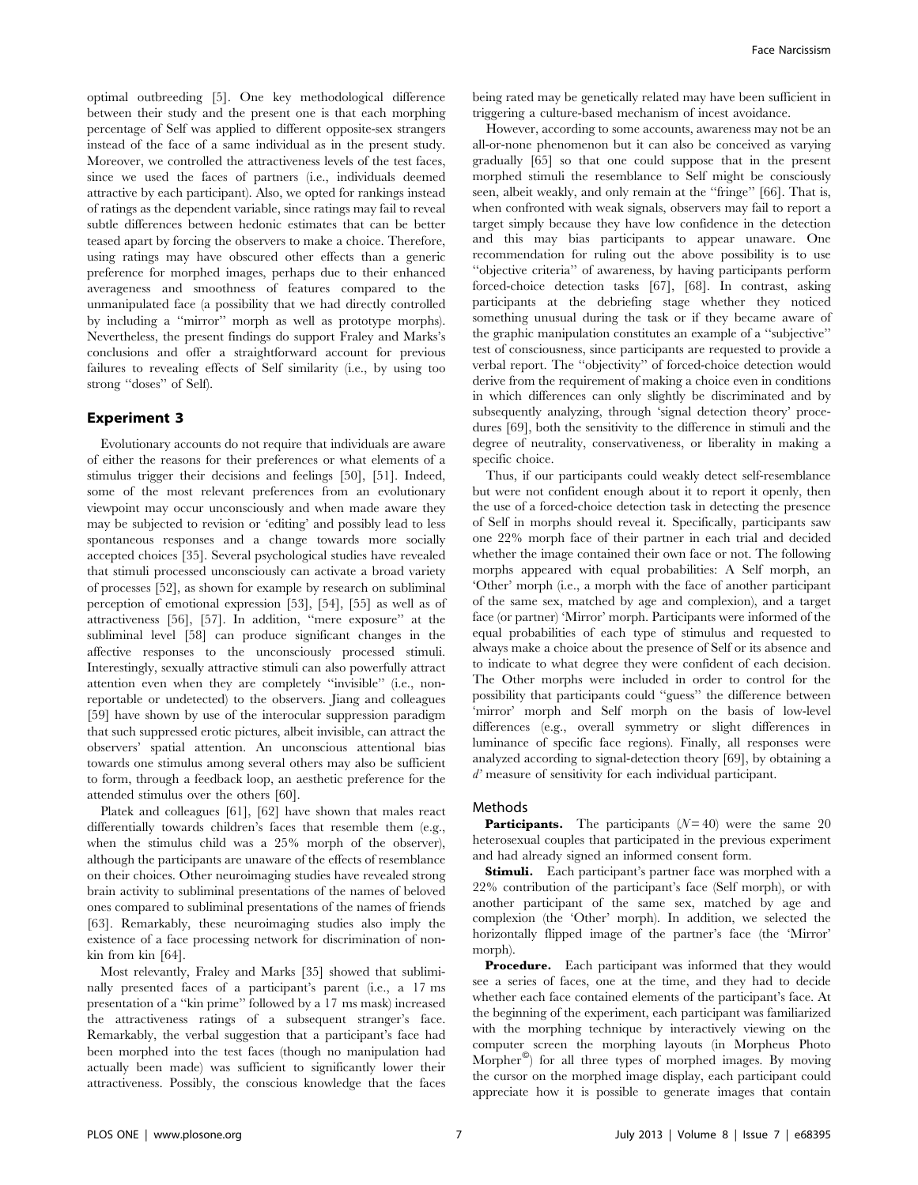optimal outbreeding [5]. One key methodological difference between their study and the present one is that each morphing percentage of Self was applied to different opposite-sex strangers instead of the face of a same individual as in the present study. Moreover, we controlled the attractiveness levels of the test faces, since we used the faces of partners (i.e., individuals deemed attractive by each participant). Also, we opted for rankings instead of ratings as the dependent variable, since ratings may fail to reveal subtle differences between hedonic estimates that can be better teased apart by forcing the observers to make a choice. Therefore, using ratings may have obscured other effects than a generic preference for morphed images, perhaps due to their enhanced averageness and smoothness of features compared to the unmanipulated face (a possibility that we had directly controlled by including a ''mirror'' morph as well as prototype morphs). Nevertheless, the present findings do support Fraley and Marks's conclusions and offer a straightforward account for previous failures to revealing effects of Self similarity (i.e., by using too strong ''doses'' of Self).

## Experiment 3

Evolutionary accounts do not require that individuals are aware of either the reasons for their preferences or what elements of a stimulus trigger their decisions and feelings [50], [51]. Indeed, some of the most relevant preferences from an evolutionary viewpoint may occur unconsciously and when made aware they may be subjected to revision or 'editing' and possibly lead to less spontaneous responses and a change towards more socially accepted choices [35]. Several psychological studies have revealed that stimuli processed unconsciously can activate a broad variety of processes [52], as shown for example by research on subliminal perception of emotional expression [53], [54], [55] as well as of attractiveness [56], [57]. In addition, ''mere exposure'' at the subliminal level [58] can produce significant changes in the affective responses to the unconsciously processed stimuli. Interestingly, sexually attractive stimuli can also powerfully attract attention even when they are completely ''invisible'' (i.e., nonreportable or undetected) to the observers. Jiang and colleagues [59] have shown by use of the interocular suppression paradigm that such suppressed erotic pictures, albeit invisible, can attract the observers' spatial attention. An unconscious attentional bias towards one stimulus among several others may also be sufficient to form, through a feedback loop, an aesthetic preference for the attended stimulus over the others [60].

Platek and colleagues [61], [62] have shown that males react differentially towards children's faces that resemble them (e.g., when the stimulus child was a 25% morph of the observer), although the participants are unaware of the effects of resemblance on their choices. Other neuroimaging studies have revealed strong brain activity to subliminal presentations of the names of beloved ones compared to subliminal presentations of the names of friends [63]. Remarkably, these neuroimaging studies also imply the existence of a face processing network for discrimination of nonkin from kin [64].

Most relevantly, Fraley and Marks [35] showed that subliminally presented faces of a participant's parent (i.e., a 17 ms presentation of a ''kin prime'' followed by a 17 ms mask) increased the attractiveness ratings of a subsequent stranger's face. Remarkably, the verbal suggestion that a participant's face had been morphed into the test faces (though no manipulation had actually been made) was sufficient to significantly lower their attractiveness. Possibly, the conscious knowledge that the faces

being rated may be genetically related may have been sufficient in triggering a culture-based mechanism of incest avoidance.

However, according to some accounts, awareness may not be an all-or-none phenomenon but it can also be conceived as varying gradually [65] so that one could suppose that in the present morphed stimuli the resemblance to Self might be consciously seen, albeit weakly, and only remain at the ''fringe'' [66]. That is, when confronted with weak signals, observers may fail to report a target simply because they have low confidence in the detection and this may bias participants to appear unaware. One recommendation for ruling out the above possibility is to use ''objective criteria'' of awareness, by having participants perform forced-choice detection tasks [67], [68]. In contrast, asking participants at the debriefing stage whether they noticed something unusual during the task or if they became aware of the graphic manipulation constitutes an example of a ''subjective'' test of consciousness, since participants are requested to provide a verbal report. The ''objectivity'' of forced-choice detection would derive from the requirement of making a choice even in conditions in which differences can only slightly be discriminated and by subsequently analyzing, through 'signal detection theory' procedures [69], both the sensitivity to the difference in stimuli and the degree of neutrality, conservativeness, or liberality in making a specific choice.

Thus, if our participants could weakly detect self-resemblance but were not confident enough about it to report it openly, then the use of a forced-choice detection task in detecting the presence of Self in morphs should reveal it. Specifically, participants saw one 22% morph face of their partner in each trial and decided whether the image contained their own face or not. The following morphs appeared with equal probabilities: A Self morph, an 'Other' morph (i.e., a morph with the face of another participant of the same sex, matched by age and complexion), and a target face (or partner) 'Mirror' morph. Participants were informed of the equal probabilities of each type of stimulus and requested to always make a choice about the presence of Self or its absence and to indicate to what degree they were confident of each decision. The Other morphs were included in order to control for the possibility that participants could ''guess'' the difference between 'mirror' morph and Self morph on the basis of low-level differences (e.g., overall symmetry or slight differences in luminance of specific face regions). Finally, all responses were analyzed according to signal-detection theory [69], by obtaining a d' measure of sensitivity for each individual participant.

## **Methods**

**Participants.** The participants  $(N=40)$  were the same 20 heterosexual couples that participated in the previous experiment and had already signed an informed consent form.

**Stimuli.** Each participant's partner face was morphed with a 22% contribution of the participant's face (Self morph), or with another participant of the same sex, matched by age and complexion (the 'Other' morph). In addition, we selected the horizontally flipped image of the partner's face (the 'Mirror' morph).

**Procedure.** Each participant was informed that they would see a series of faces, one at the time, and they had to decide whether each face contained elements of the participant's face. At the beginning of the experiment, each participant was familiarized with the morphing technique by interactively viewing on the computer screen the morphing layouts (in Morpheus Photo Morpher<sup>®</sup>) for all three types of morphed images. By moving the cursor on the morphed image display, each participant could appreciate how it is possible to generate images that contain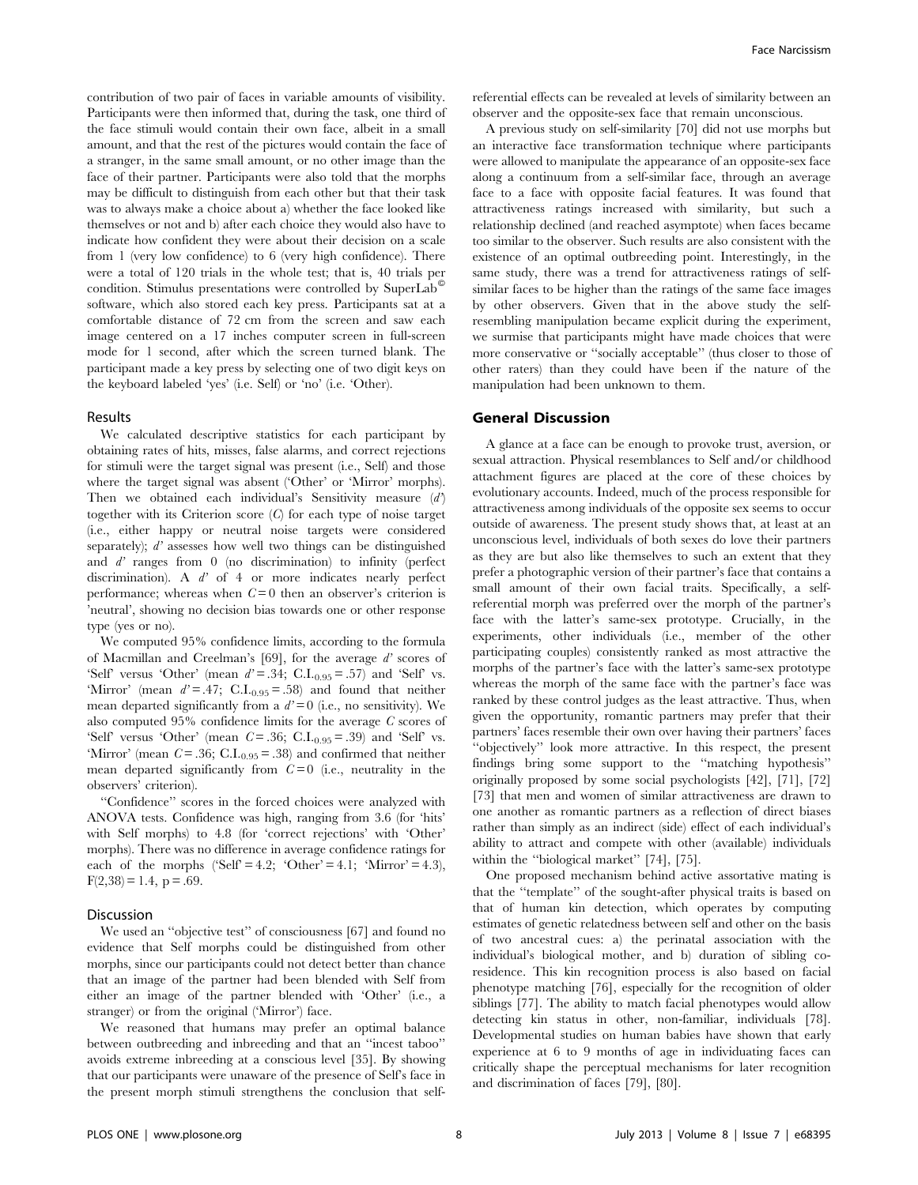contribution of two pair of faces in variable amounts of visibility. Participants were then informed that, during the task, one third of the face stimuli would contain their own face, albeit in a small amount, and that the rest of the pictures would contain the face of a stranger, in the same small amount, or no other image than the face of their partner. Participants were also told that the morphs may be difficult to distinguish from each other but that their task was to always make a choice about a) whether the face looked like themselves or not and b) after each choice they would also have to indicate how confident they were about their decision on a scale from 1 (very low confidence) to 6 (very high confidence). There were a total of 120 trials in the whole test; that is, 40 trials per condition. Stimulus presentations were controlled by SuperLab software, which also stored each key press. Participants sat at a comfortable distance of 72 cm from the screen and saw each image centered on a 17 inches computer screen in full-screen mode for 1 second, after which the screen turned blank. The participant made a key press by selecting one of two digit keys on the keyboard labeled 'yes' (i.e. Self) or 'no' (i.e. 'Other).

#### Results

We calculated descriptive statistics for each participant by obtaining rates of hits, misses, false alarms, and correct rejections for stimuli were the target signal was present (i.e., Self) and those where the target signal was absent ('Other' or 'Mirror' morphs). Then we obtained each individual's Sensitivity measure (d') together with its Criterion score  $(C)$  for each type of noise target (i.e., either happy or neutral noise targets were considered separately); d' assesses how well two things can be distinguished and d' ranges from 0 (no discrimination) to infinity (perfect discrimination). A d' of 4 or more indicates nearly perfect performance; whereas when  $C = 0$  then an observer's criterion is 'neutral', showing no decision bias towards one or other response type (yes or no).

We computed 95% confidence limits, according to the formula of Macmillan and Creelman's [69], for the average d' scores of 'Self' versus 'Other' (mean  $d' = .34$ ; C.I.<sub>0.95</sub> = .57) and 'Self' vs. 'Mirror' (mean  $d' = .47$ ; C.I.<sub>0.95</sub> = .58) and found that neither mean departed significantly from a  $d' = 0$  (i.e., no sensitivity). We also computed 95% confidence limits for the average C scores of 'Self' versus 'Other' (mean  $C = .36$ ; C.I.<sub>0.95</sub> = .39) and 'Self' vs. 'Mirror' (mean  $C = .36$ ; C.I.<sub>0.95</sub> = .38) and confirmed that neither mean departed significantly from  $C=0$  (i.e., neutrality in the observers' criterion).

''Confidence'' scores in the forced choices were analyzed with ANOVA tests. Confidence was high, ranging from 3.6 (for 'hits' with Self morphs) to 4.8 (for 'correct rejections' with 'Other' morphs). There was no difference in average confidence ratings for each of the morphs ('Self' = 4.2; 'Other' = 4.1; 'Mirror' = 4.3),  $F(2,38) = 1.4$ , p = .69.

#### Discussion

We used an ''objective test'' of consciousness [67] and found no evidence that Self morphs could be distinguished from other morphs, since our participants could not detect better than chance that an image of the partner had been blended with Self from either an image of the partner blended with 'Other' (i.e., a stranger) or from the original ('Mirror') face.

We reasoned that humans may prefer an optimal balance between outbreeding and inbreeding and that an ''incest taboo'' avoids extreme inbreeding at a conscious level [35]. By showing that our participants were unaware of the presence of Self's face in the present morph stimuli strengthens the conclusion that selfreferential effects can be revealed at levels of similarity between an observer and the opposite-sex face that remain unconscious.

A previous study on self-similarity [70] did not use morphs but an interactive face transformation technique where participants were allowed to manipulate the appearance of an opposite-sex face along a continuum from a self-similar face, through an average face to a face with opposite facial features. It was found that attractiveness ratings increased with similarity, but such a relationship declined (and reached asymptote) when faces became too similar to the observer. Such results are also consistent with the existence of an optimal outbreeding point. Interestingly, in the same study, there was a trend for attractiveness ratings of selfsimilar faces to be higher than the ratings of the same face images by other observers. Given that in the above study the selfresembling manipulation became explicit during the experiment, we surmise that participants might have made choices that were more conservative or ''socially acceptable'' (thus closer to those of other raters) than they could have been if the nature of the manipulation had been unknown to them.

## General Discussion

A glance at a face can be enough to provoke trust, aversion, or sexual attraction. Physical resemblances to Self and/or childhood attachment figures are placed at the core of these choices by evolutionary accounts. Indeed, much of the process responsible for attractiveness among individuals of the opposite sex seems to occur outside of awareness. The present study shows that, at least at an unconscious level, individuals of both sexes do love their partners as they are but also like themselves to such an extent that they prefer a photographic version of their partner's face that contains a small amount of their own facial traits. Specifically, a selfreferential morph was preferred over the morph of the partner's face with the latter's same-sex prototype. Crucially, in the experiments, other individuals (i.e., member of the other participating couples) consistently ranked as most attractive the morphs of the partner's face with the latter's same-sex prototype whereas the morph of the same face with the partner's face was ranked by these control judges as the least attractive. Thus, when given the opportunity, romantic partners may prefer that their partners' faces resemble their own over having their partners' faces ''objectively'' look more attractive. In this respect, the present findings bring some support to the ''matching hypothesis'' originally proposed by some social psychologists [42], [71], [72] [73] that men and women of similar attractiveness are drawn to one another as romantic partners as a reflection of direct biases rather than simply as an indirect (side) effect of each individual's ability to attract and compete with other (available) individuals within the "biological market" [74], [75].

One proposed mechanism behind active assortative mating is that the ''template'' of the sought-after physical traits is based on that of human kin detection, which operates by computing estimates of genetic relatedness between self and other on the basis of two ancestral cues: a) the perinatal association with the individual's biological mother, and b) duration of sibling coresidence. This kin recognition process is also based on facial phenotype matching [76], especially for the recognition of older siblings [77]. The ability to match facial phenotypes would allow detecting kin status in other, non-familiar, individuals [78]. Developmental studies on human babies have shown that early experience at 6 to 9 months of age in individuating faces can critically shape the perceptual mechanisms for later recognition and discrimination of faces [79], [80].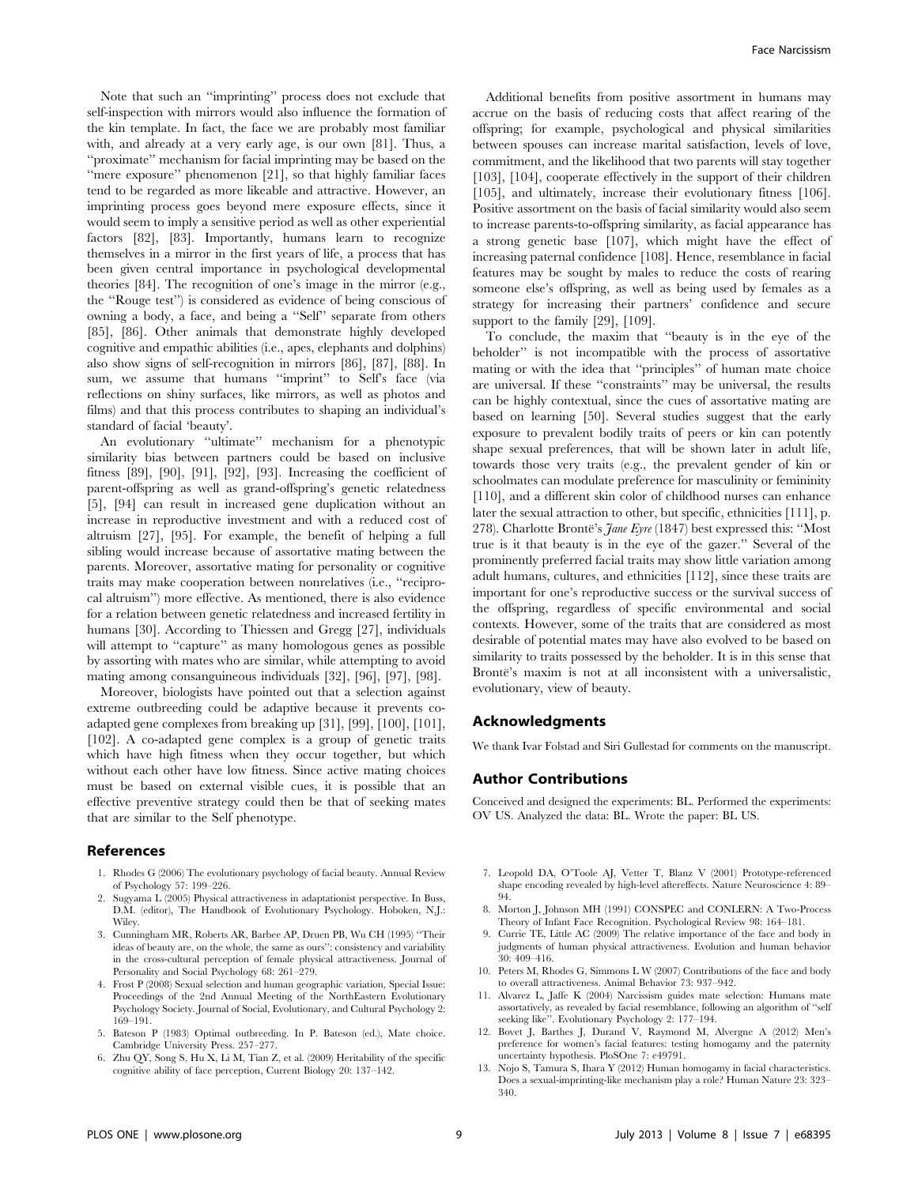Note that such an ''imprinting'' process does not exclude that self-inspection with mirrors would also influence the formation of the kin template. In fact, the face we are probably most familiar with, and already at a very early age, is our own [81]. Thus, a ''proximate'' mechanism for facial imprinting may be based on the "mere exposure" phenomenon [21], so that highly familiar faces tend to be regarded as more likeable and attractive. However, an imprinting process goes beyond mere exposure effects, since it would seem to imply a sensitive period as well as other experiential factors [82], [83]. Importantly, humans learn to recognize themselves in a mirror in the first years of life, a process that has been given central importance in psychological developmental theories [84]. The recognition of one's image in the mirror (e.g., the ''Rouge test'') is considered as evidence of being conscious of owning a body, a face, and being a ''Self'' separate from others [85], [86]. Other animals that demonstrate highly developed cognitive and empathic abilities (i.e., apes, elephants and dolphins) also show signs of self-recognition in mirrors [86], [87], [88]. In sum, we assume that humans ''imprint'' to Self's face (via reflections on shiny surfaces, like mirrors, as well as photos and films) and that this process contributes to shaping an individual's standard of facial 'beauty'.

An evolutionary ''ultimate'' mechanism for a phenotypic similarity bias between partners could be based on inclusive fitness [89], [90], [91], [92], [93]. Increasing the coefficient of parent-offspring as well as grand-offspring's genetic relatedness [5], [94] can result in increased gene duplication without an increase in reproductive investment and with a reduced cost of altruism [27], [95]. For example, the benefit of helping a full sibling would increase because of assortative mating between the parents. Moreover, assortative mating for personality or cognitive traits may make cooperation between nonrelatives (i.e., ''reciprocal altruism'') more effective. As mentioned, there is also evidence for a relation between genetic relatedness and increased fertility in humans [30]. According to Thiessen and Gregg [27], individuals will attempt to "capture" as many homologous genes as possible by assorting with mates who are similar, while attempting to avoid mating among consanguineous individuals [32], [96], [97], [98].

Moreover, biologists have pointed out that a selection against extreme outbreeding could be adaptive because it prevents coadapted gene complexes from breaking up [31], [99], [100], [101], [102]. A co-adapted gene complex is a group of genetic traits which have high fitness when they occur together, but which without each other have low fitness. Since active mating choices must be based on external visible cues, it is possible that an effective preventive strategy could then be that of seeking mates that are similar to the Self phenotype.

#### References

- 1. Rhodes G (2006) The evolutionary psychology of facial beauty. Annual Review of Psychology 57: 199–226.
- 2. Sugyama L (2005) Physical attractiveness in adaptationist perspective. In Buss, D.M. (editor), The Handbook of Evolutionary Psychology. Hoboken, N.J.: Wiley.
- 3. Cunningham MR, Roberts AR, Barbee AP, Druen PB, Wu CH (1995) ''Their ideas of beauty are, on the whole, the same as ours'': consistency and variability in the cross-cultural perception of female physical attractiveness. Journal of Personality and Social Psychology 68: 261–279.
- 4. Frost P (2008) Sexual selection and human geographic variation, Special Issue: Proceedings of the 2nd Annual Meeting of the NorthEastern Evolutionary Psychology Society. Journal of Social, Evolutionary, and Cultural Psychology 2: 169–191.
- 5. Bateson P (1983) Optimal outbreeding. In P. Bateson (ed.), Mate choice. Cambridge University Press. 257–277.
- 6. Zhu QY, Song S, Hu X, Li M, Tian Z, et al. (2009) Heritability of the specific cognitive ability of face perception, Current Biology 20: 137–142.

Additional benefits from positive assortment in humans may accrue on the basis of reducing costs that affect rearing of the offspring; for example, psychological and physical similarities between spouses can increase marital satisfaction, levels of love, commitment, and the likelihood that two parents will stay together [103], [104], cooperate effectively in the support of their children [105], and ultimately, increase their evolutionary fitness [106]. Positive assortment on the basis of facial similarity would also seem to increase parents-to-offspring similarity, as facial appearance has a strong genetic base [107], which might have the effect of increasing paternal confidence [108]. Hence, resemblance in facial features may be sought by males to reduce the costs of rearing someone else's offspring, as well as being used by females as a strategy for increasing their partners' confidence and secure support to the family [29], [109].

To conclude, the maxim that ''beauty is in the eye of the beholder'' is not incompatible with the process of assortative mating or with the idea that ''principles'' of human mate choice are universal. If these ''constraints'' may be universal, the results can be highly contextual, since the cues of assortative mating are based on learning [50]. Several studies suggest that the early exposure to prevalent bodily traits of peers or kin can potently shape sexual preferences, that will be shown later in adult life, towards those very traits (e.g., the prevalent gender of kin or schoolmates can modulate preference for masculinity or femininity [110], and a different skin color of childhood nurses can enhance later the sexual attraction to other, but specific, ethnicities [111], p. 278). Charlotte Brontë's *Jane Eyre* (1847) best expressed this: "Most true is it that beauty is in the eye of the gazer.'' Several of the prominently preferred facial traits may show little variation among adult humans, cultures, and ethnicities [112], since these traits are important for one's reproductive success or the survival success of the offspring, regardless of specific environmental and social contexts. However, some of the traits that are considered as most desirable of potential mates may have also evolved to be based on similarity to traits possessed by the beholder. It is in this sense that Bronte<sup>'s</sup> maxim is not at all inconsistent with a universalistic, evolutionary, view of beauty.

#### Acknowledgments

We thank Ivar Folstad and Siri Gullestad for comments on the manuscript.

## Author Contributions

Conceived and designed the experiments: BL. Performed the experiments: OV US. Analyzed the data: BL. Wrote the paper: BL US.

- 7. Leopold DA, O'Toole AJ, Vetter T, Blanz V (2001) Prototype-referenced shape encoding revealed by high-level aftereffects. Nature Neuroscience 4: 89– 94.
- 8. Morton J, Johnson MH (1991) CONSPEC and CONLERN: A Two-Process Theory of Infant Face Recognition. Psychological Review 98: 164–181.
- 9. Currie TE, Little AC (2009) The relative importance of the face and body in judgments of human physical attractiveness. Evolution and human behavior 30: 409–416.
- 10. Peters M, Rhodes G, Simmons L W (2007) Contributions of the face and body to overall attractiveness. Animal Behavior 73: 937–942.
- 11. Alvarez L, Jaffe K (2004) Narcissism guides mate selection: Humans mate assortatively, as revealed by facial resemblance, following an algorithm of ''self seeking like''. Evolutionary Psychology 2: 177–194.
- 12. Bovet J, Barthes J, Durand V, Raymond M, Alvergne A (2012) Men's preference for women's facial features: testing homogamy and the paternity uncertainty hypothesis. PloSOne 7: e49791.
- 13. Nojo S, Tamura S, Ihara Y (2012) Human homogamy in facial characteristics. Does a sexual-imprinting-like mechanism play a role? Human Nature 23: 323– 340.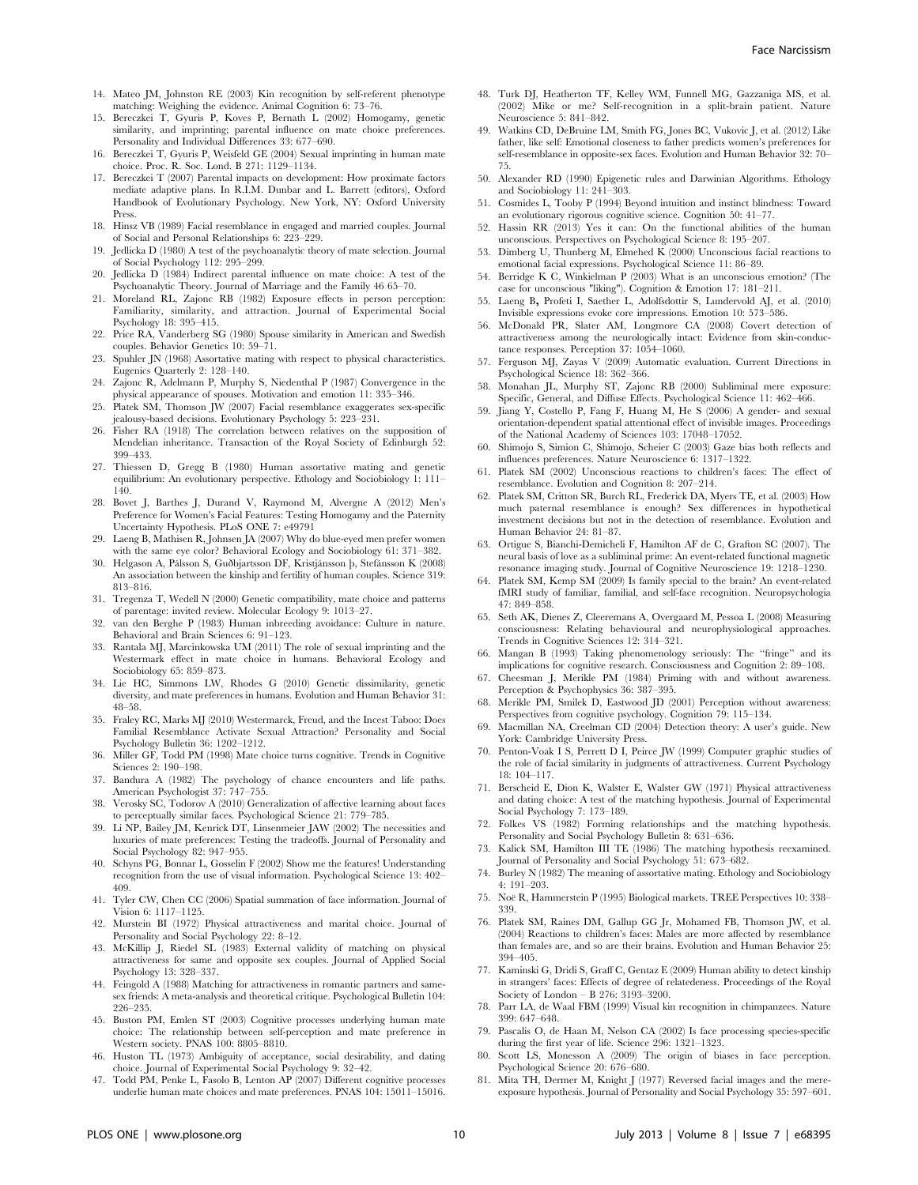- 14. Mateo JM, Johnston RE (2003) Kin recognition by self-referent phenotype matching: Weighing the evidence. Animal Cognition 6: 73–76.
- 15. Bereczkei T, Gyuris P, Koves P, Bernath L (2002) Homogamy, genetic similarity, and imprinting; parental influence on mate choice preferences. Personality and Individual Differences 33: 677–690.
- 16. Bereczkei T, Gyuris P, Weisfeld GE (2004) Sexual imprinting in human mate choice. Proc. R. Soc. Lond. B 271: 1129–1134.
- 17. Bereczkei T (2007) Parental impacts on development: How proximate factors mediate adaptive plans. In R.I.M. Dunbar and L. Barrett (editors), Oxford Handbook of Evolutionary Psychology. New York, NY: Oxford University Press.
- 18. Hinsz VB (1989) Facial resemblance in engaged and married couples. Journal of Social and Personal Relationships 6: 223–229.
- 19. Jedlicka D (1980) A test of the psychoanalytic theory of mate selection. Journal of Social Psychology 112: 295–299.
- 20. Jedlicka D (1984) Indirect parental influence on mate choice: A test of the Psychoanalytic Theory. Journal of Marriage and the Family 46 65–70.
- 21. Moreland RL, Zajonc RB (1982) Exposure effects in person perception: Familiarity, similarity, and attraction. Journal of Experimental Social Psychology 18: 395–415.
- 22. Price RA, Vanderberg SG (1980) Spouse similarity in American and Swedish couples. Behavior Genetics 10: 59–71.
- 23. Spuhler JN (1968) Assortative mating with respect to physical characteristics. Eugenics Quarterly 2: 128–140.
- 24. Zajonc R, Adelmann P, Murphy S, Niedenthal P (1987) Convergence in the physical appearance of spouses. Motivation and emotion 11: 335–346.
- 25. Platek SM, Thomson JW (2007) Facial resemblance exaggerates sex-specific jealousy-based decisions. Evolutionary Psychology 5: 223–231.
- 26. Fisher RA (1918) The correlation between relatives on the supposition of Mendelian inheritance. Transaction of the Royal Society of Edinburgh 52: 399–433.
- 27. Thiessen D, Gregg B (1980) Human assortative mating and genetic equilibrium: An evolutionary perspective. Ethology and Sociobiology 1: 111– 140.
- 28. Bovet J, Barthes J, Durand V, Raymond M, Alvergne A (2012) Men's Preference for Women's Facial Features: Testing Homogamy and the Paternity Uncertainty Hypothesis. PLoS ONE 7: e49791
- 29. Laeng B, Mathisen R, Johnsen JA (2007) Why do blue-eyed men prefer women with the same eye color? Behavioral Ecology and Sociobiology 61: 371–382.
- 30. Helgason A, Pálsson S, Guðbjartsson DF, Kristjánsson þ, Stefánsson K (2008) An association between the kinship and fertility of human couples. Science 319: 813–816.
- 31. Tregenza T, Wedell N (2000) Genetic compatibility, mate choice and patterns of parentage: invited review. Molecular Ecology 9: 1013–27.
- 32. van den Berghe P (1983) Human inbreeding avoidance: Culture in nature. Behavioral and Brain Sciences 6: 91–123.
- 33. Rantala MJ, Marcinkowska UM (2011) The role of sexual imprinting and the Westermark effect in mate choice in humans. Behavioral Ecology and Sociobiology 65: 859–873.
- 34. Lie HC, Simmons LW, Rhodes G (2010) Genetic dissimilarity, genetic diversity, and mate preferences in humans. Evolution and Human Behavior 31: 48–58.
- 35. Fraley RC, Marks MJ (2010) Westermarck, Freud, and the Incest Taboo: Does Familial Resemblance Activate Sexual Attraction? Personality and Social Psychology Bulletin 36: 1202–1212.
- 36. Miller GF, Todd PM (1998) Mate choice turns cognitive. Trends in Cognitive Sciences 2: 190–198.
- 37. Bandura A (1982) The psychology of chance encounters and life paths. American Psychologist 37: 747–755.
- 38. Verosky SC, Todorov A (2010) Generalization of affective learning about faces to perceptually similar faces. Psychological Science 21: 779–785.
- 39. Li NP, Bailey JM, Kenrick DT, Linsenmeier JAW (2002) The necessities and luxuries of mate preferences: Testing the tradeoffs. Journal of Personality and Social Psychology 82: 947–955.
- 40. Schyns PG, Bonnar L, Gosselin F (2002) Show me the features! Understanding recognition from the use of visual information. Psychological Science 13: 402– 409.
- 41. Tyler CW, Chen CC (2006) Spatial summation of face information. Journal of Vision 6: 1117–1125.
- 42. Murstein BI (1972) Physical attractiveness and marital choice. Journal of Personality and Social Psychology 22: 8–12.
- 43. McKillip J, Riedel SL (1983) External validity of matching on physical attractiveness for same and opposite sex couples. Journal of Applied Social Psychology 13: 328–337.
- 44. Feingold A (1988) Matching for attractiveness in romantic partners and samesex friends: A meta-analysis and theoretical critique. Psychological Bulletin 104: 226–235.
- 45. Buston PM, Emlen ST (2003) Cognitive processes underlying human mate choice: The relationship between self-perception and mate preference in Western society. PNAS 100: 8805–8810.
- 46. Huston TL (1973) Ambiguity of acceptance, social desirability, and dating choice. Journal of Experimental Social Psychology 9: 32–42.
- 47. Todd PM, Penke L, Fasolo B, Lenton AP (2007) Different cognitive processes underlie human mate choices and mate preferences. PNAS 104: 15011–15016.
- 48. Turk DJ, Heatherton TF, Kelley WM, Funnell MG, Gazzaniga MS, et al. (2002) Mike or me? Self-recognition in a split-brain patient. Nature Neuroscience 5: 841–842.
- 49. Watkins CD, DeBruine LM, Smith FG, Jones BC, Vukovic J, et al. (2012) Like father, like self: Emotional closeness to father predicts women's preferences for self-resemblance in opposite-sex faces. Evolution and Human Behavior 32: 70– 75.
- 50. Alexander RD (1990) Epigenetic rules and Darwinian Algorithms. Ethology and Sociobiology 11: 241–303.
- 51. Cosmides L, Tooby P (1994) Beyond intuition and instinct blindness: Toward an evolutionary rigorous cognitive science. Cognition 50: 41–77.
- Hassin RR (2013) Yes it can: On the functional abilities of the human unconscious. Perspectives on Psychological Science 8: 195–207.
- 53. Dimberg U, Thunberg M, Elmehed K (2000) Unconscious facial reactions to emotional facial expressions. Psychological Science 11: 86–89.
- 54. Berridge K C, Winkielman P (2003) What is an unconscious emotion? (The case for unconscious "liking"). Cognition & Emotion 17: 181–211.
- 55. Laeng B, Profeti I, Saether L, Adolfsdottir S, Lundervold AJ, et al. (2010) Invisible expressions evoke core impressions. Emotion 10: 573–586.
- 56. McDonald PR, Slater AM, Longmore CA (2008) Covert detection of attractiveness among the neurologically intact: Evidence from skin-conductance responses. Perception 37: 1054–1060.
- 57. Ferguson MJ, Zayas V (2009) Automatic evaluation. Current Directions in Psychological Science 18: 362–366.
- 58. Monahan JL, Murphy ST, Zajonc RB (2000) Subliminal mere exposure: Specific, General, and Diffuse Effects. Psychological Science 11: 462-466.
- 59. Jiang Y, Costello P, Fang F, Huang M, He S (2006) A gender- and sexual orientation-dependent spatial attentional effect of invisible images. Proceedings of the National Academy of Sciences 103: 17048–17052.
- 60. Shimojo S, Simion C, Shimojo, Scheier C (2003) Gaze bias both reflects and influences preferences. Nature Neuroscience 6: 1317–1322.
- 61. Platek SM (2002) Unconscious reactions to children's faces: The effect of resemblance. Evolution and Cognition 8: 207–214.
- 62. Platek SM, Critton SR, Burch RL, Frederick DA, Myers TE, et al. (2003) How much paternal resemblance is enough? Sex differences in hypothetical investment decisions but not in the detection of resemblance. Evolution and Human Behavior 24: 81–87.
- 63. Ortigue S, Bianchi-Demicheli F, Hamilton AF de C, Grafton SC (2007). The neural basis of love as a subliminal prime: An event-related functional magnetic resonance imaging study. Journal of Cognitive Neuroscience 19: 1218–1230.
- 64. Platek SM, Kemp SM (2009) Is family special to the brain? An event-related fMRI study of familiar, familial, and self-face recognition. Neuropsychologia 47: 849–858.
- 65. Seth AK, Dienes Z, Cleeremans A, Overgaard M, Pessoa L (2008) Measuring consciousness: Relating behavioural and neurophysiological approaches. Trends in Cognitive Sciences 12: 314–321.
- 66. Mangan B (1993) Taking phenomenology seriously: The ''fringe'' and its implications for cognitive research. Consciousness and Cognition 2: 89–108.
- Cheesman J, Merikle PM (1984) Priming with and without awareness. Perception & Psychophysics 36: 387–395.
- 68. Merikle PM, Smilek D, Eastwood JD (2001) Perception without awareness: Perspectives from cognitive psychology. Cognition 79: 115–134.
- 69. Macmillan NA, Creelman CD (2004) Detection theory: A user's guide. New York: Cambridge University Press.
- 70. Penton-Voak I S, Perrett D I, Peirce JW (1999) Computer graphic studies of the role of facial similarity in judgments of attractiveness. Current Psychology 18: 104–117.
- 71. Berscheid E, Dion K, Walster E, Walster GW (1971) Physical attractiveness and dating choice: A test of the matching hypothesis. Journal of Experimental Social Psychology 7: 173–189.
- 72. Folkes VS (1982) Forming relationships and the matching hypothesis. Personality and Social Psychology Bulletin 8: 631–636.
- Kalick SM, Hamilton III TE (1986) The matching hypothesis reexamined. Journal of Personality and Social Psychology 51: 673–682.
- 74. Burley N (1982) The meaning of assortative mating. Ethology and Sociobiology 4: 191–203.
- 75. Noë R, Hammerstein P (1995) Biological markets. TREE Perspectives 10: 338– 339.
- 76. Platek SM, Raines DM, Gallup GG Jr, Mohamed FB, Thomson JW, et al. (2004) Reactions to children's faces: Males are more affected by resemblance than females are, and so are their brains. Evolution and Human Behavior 25: 394–405.
- 77. Kaminski G, Dridi S, Graff C, Gentaz E (2009) Human ability to detect kinship in strangers' faces: Effects of degree of relatedeness. Proceedings of the Royal Society of London – B 276: 3193–3200.
- 78. Parr LA, de Waal FBM (1999) Visual kin recognition in chimpanzees. Nature 399: 647–648.
- 79. Pascalis O, de Haan M, Nelson CA (2002) Is face processing species-specific during the first year of life. Science 296: 1321–1323.
- 80. Scott LS, Monesson A (2009) The origin of biases in face perception. Psychological Science 20: 676–680.
- Mita TH, Dermer M, Knight J (1977) Reversed facial images and the mereexposure hypothesis. Journal of Personality and Social Psychology 35: 597–601.